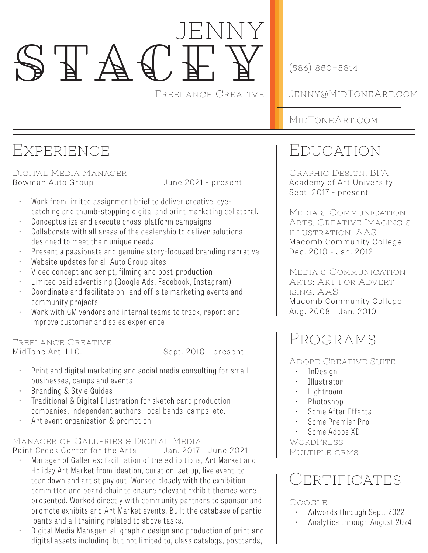# jenny  $S F A G$

Freelance Creative

(586) 850-5814

Jenny@MidToneArt.com

MidToneArt.com

## Experience

Digital Media Manager Bowman Auto Group **Fig. 10.13.13.14** June 2021 - present

- Work from limited assignment brief to deliver creative, eyecatching and thumb-stopping digital and print marketing collateral.
- Conceptualize and execute cross-platform campaigns
- Collaborate with all areas of the dealership to deliver solutions designed to meet their unique needs
- Present a passionate and genuine story-focused branding narrative
- Website updates for all Auto Group sites
- Video concept and script, filming and post-production
- Limited paid advertising (Google Ads, Facebook, Instagram)
- Coordinate and facilitate on- and off-site marketing events and community projects
- Work with GM vendors and internal teams to track, report and improve customer and sales experience

#### Freelance Creative

MidTone Art, LLC. Sept. 2010 - present

- Print and digital marketing and social media consulting for small businesses, camps and events
- Branding & Style Guides
- Traditional & Digital Illustration for sketch card production companies, independent authors, local bands, camps, etc.
- Art event organization & promotion

#### Manager of Galleries & Digital Media

Paint Creek Center for the Arts Jan. 2017 - June 2021

- Manager of Galleries: facilitation of the exhibitions, Art Market and Holiday Art Market from ideation, curation, set up, live event, to tear down and artist pay out. Worked closely with the exhibition committee and board chair to ensure relevant exhibit themes were presented. Worked directly with community partners to sponsor and promote exhibits and Art Market events. Built the database of participants and all training related to above tasks.
- Digital Media Manager: all graphic design and production of print and digital assets including, but not limited to, class catalogs, postcards,

# Education

Graphic Design, BFA Academy of Art University Sept. 2017 - present

Media & Communication Arts: Creative Imaging & illustration, AAS Macomb Community College Dec. 2010 - Jan. 2012

Media & Communication Arts: Art for Advertising, AAS Macomb Community College Aug. 2008 - Jan. 2010

# Programs

Adobe Creative Suite

- InDesign
- Illustrator
- Lightroom
- Photoshop
- Some After Effects
- Some Premier Pro
- Some Adobe XD

**WORDPRESS** Multiple crms

### **CERTIFICATES**

Google

- Adwords through Sept. 2022
- Analytics through August 2024